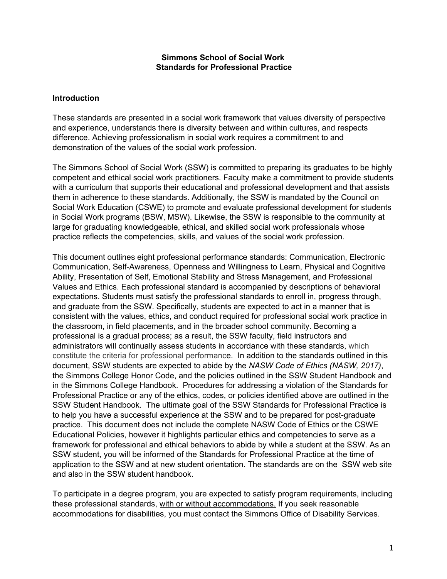#### **Simmons School of Social Work Standards for Professional Practice**

#### **Introduction**

These standards are presented in a social work framework that values diversity of perspective and experience, understands there is diversity between and within cultures, and respects difference. Achieving professionalism in social work requires a commitment to and demonstration of the values of the social work profession.

The Simmons School of Social Work (SSW) is committed to preparing its graduates to be highly competent and ethical social work practitioners. Faculty make a commitment to provide students with a curriculum that supports their educational and professional development and that assists them in adherence to these standards. Additionally, the SSW is mandated by the Council on Social Work Education (CSWE) to promote and evaluate professional development for students in Social Work programs (BSW, MSW). Likewise, the SSW is responsible to the community at large for graduating knowledgeable, ethical, and skilled social work professionals whose practice reflects the competencies, skills, and values of the social work profession.

This document outlines eight professional performance standards: Communication, Electronic Communication, Self-Awareness, Openness and Willingness to Learn, Physical and Cognitive Ability, Presentation of Self, Emotional Stability and Stress Management, and Professional Values and Ethics. Each professional standard is accompanied by descriptions of behavioral expectations. Students must satisfy the professional standards to enroll in, progress through, and graduate from the SSW. Specifically, students are expected to act in a manner that is consistent with the values, ethics, and conduct required for professional social work practice in the classroom, in field placements, and in the broader school community. Becoming a professional is a gradual process; as a result, the SSW faculty, field instructors and administrators will continually assess students in accordance with these standards, which constitute the criteria for professional performance. In addition to the standards outlined in this document, SSW students are expected to abide by the *NASW Code of Ethics (NASW, 2017)*, the Simmons College Honor Code, and the policies outlined in the SSW Student Handbook and in the Simmons College Handbook. Procedures for addressing a violation of the Standards for Professional Practice or any of the ethics, codes, or policies identified above are outlined in the SSW Student Handbook. The ultimate goal of the SSW Standards for Professional Practice is to help you have a successful experience at the SSW and to be prepared for post-graduate practice. This document does not include the complete NASW Code of Ethics or the CSWE Educational Policies, however it highlights particular ethics and competencies to serve as a framework for professional and ethical behaviors to abide by while a student at the SSW. As an SSW student, you will be informed of the Standards for Professional Practice at the time of application to the SSW and at new student orientation. The standards are on the SSW web site and also in the SSW student handbook.

To participate in a degree program, you are expected to satisfy program requirements, including these professional standards, with or without accommodations. If you seek reasonable accommodations for disabilities, you must contact the Simmons Office of Disability Services.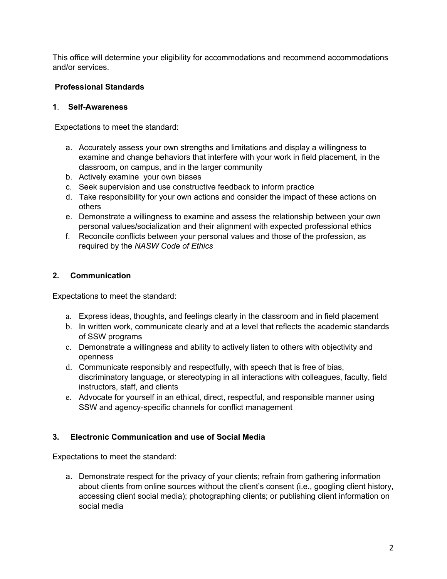This office will determine your eligibility for accommodations and recommend accommodations and/or services.

# **Professional Standards**

## **1**. **Self-Awareness**

Expectations to meet the standard:

- a. Accurately assess your own strengths and limitations and display a willingness to examine and change behaviors that interfere with your work in field placement, in the classroom, on campus, and in the larger community
- b. Actively examine your own biases
- c. Seek supervision and use constructive feedback to inform practice
- d. Take responsibility for your own actions and consider the impact of these actions on others
- e. Demonstrate a willingness to examine and assess the relationship between your own personal values/socialization and their alignment with expected professional ethics
- f. Reconcile conflicts between your personal values and those of the profession, as required by the *NASW Code of Ethics*

## **2. Communication**

Expectations to meet the standard:

- a. Express ideas, thoughts, and feelings clearly in the classroom and in field placement
- b. In written work, communicate clearly and at a level that reflects the academic standards of SSW programs
- c. Demonstrate a willingness and ability to actively listen to others with objectivity and openness
- d. Communicate responsibly and respectfully, with speech that is free of bias, discriminatory language, or stereotyping in all interactions with colleagues, faculty, field instructors, staff, and clients
- e. Advocate for yourself in an ethical, direct, respectful, and responsible manner using SSW and agency-specific channels for conflict management

## **3. Electronic Communication and use of Social Media**

Expectations to meet the standard:

a. Demonstrate respect for the privacy of your clients; refrain from gathering information about clients from online sources without the client's consent (i.e., googling client history, accessing client social media); photographing clients; or publishing client information on social media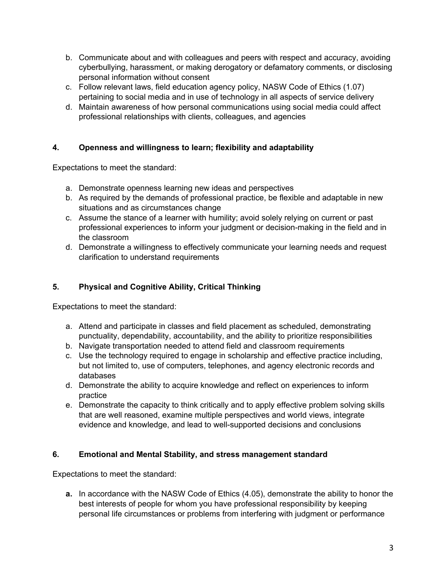- b. Communicate about and with colleagues and peers with respect and accuracy, avoiding cyberbullying, harassment, or making derogatory or defamatory comments, or disclosing personal information without consent
- c. Follow relevant laws, field education agency policy, NASW Code of Ethics (1.07) pertaining to social media and in use of technology in all aspects of service delivery
- d. Maintain awareness of how personal communications using social media could affect professional relationships with clients, colleagues, and agencies

## **4. Openness and willingness to learn; flexibility and adaptability**

Expectations to meet the standard:

- a. Demonstrate openness learning new ideas and perspectives
- b. As required by the demands of professional practice, be flexible and adaptable in new situations and as circumstances change
- c. Assume the stance of a learner with humility; avoid solely relying on current or past professional experiences to inform your judgment or decision-making in the field and in the classroom
- d. Demonstrate a willingness to effectively communicate your learning needs and request clarification to understand requirements

# **5. Physical and Cognitive Ability, Critical Thinking**

Expectations to meet the standard:

- a. Attend and participate in classes and field placement as scheduled, demonstrating punctuality, dependability, accountability, and the ability to prioritize responsibilities
- b. Navigate transportation needed to attend field and classroom requirements
- c. Use the technology required to engage in scholarship and effective practice including, but not limited to, use of computers, telephones, and agency electronic records and databases
- d. Demonstrate the ability to acquire knowledge and reflect on experiences to inform practice
- e. Demonstrate the capacity to think critically and to apply effective problem solving skills that are well reasoned, examine multiple perspectives and world views, integrate evidence and knowledge, and lead to well-supported decisions and conclusions

# **6. Emotional and Mental Stability, and stress management standard**

Expectations to meet the standard:

**a.** In accordance with the NASW Code of Ethics (4.05), demonstrate the ability to honor the best interests of people for whom you have professional responsibility by keeping personal life circumstances or problems from interfering with judgment or performance